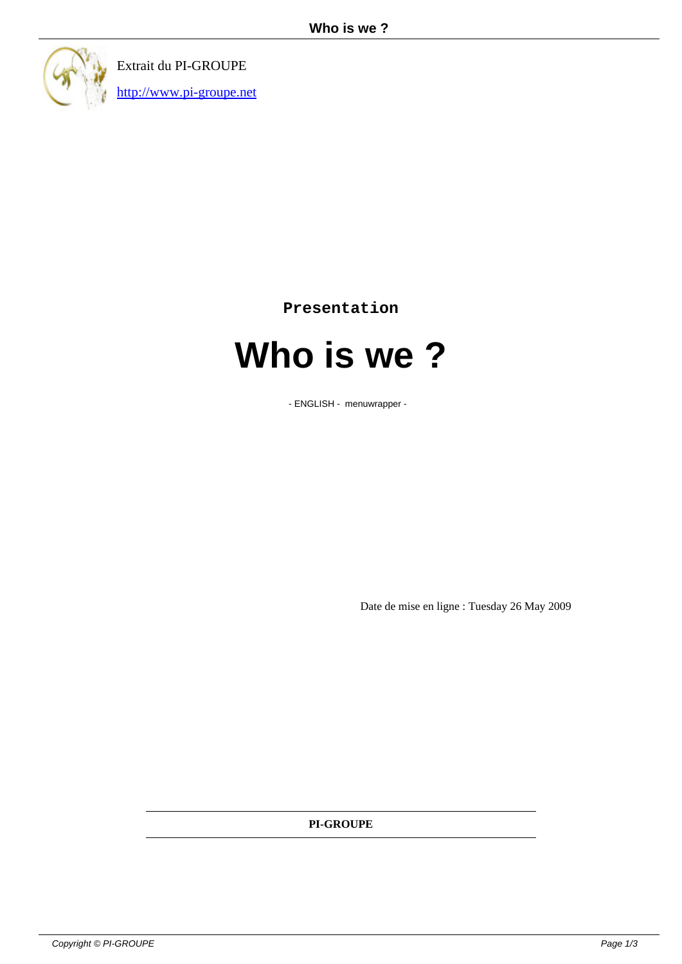

Extrait du PI-GROUPE http://www.pi-groupe.net

**Presentation**

## **Who is we ?**

- ENGLISH - menuwrapper -

Date de mise en ligne : Tuesday 26 May 2009

**PI-GROUPE**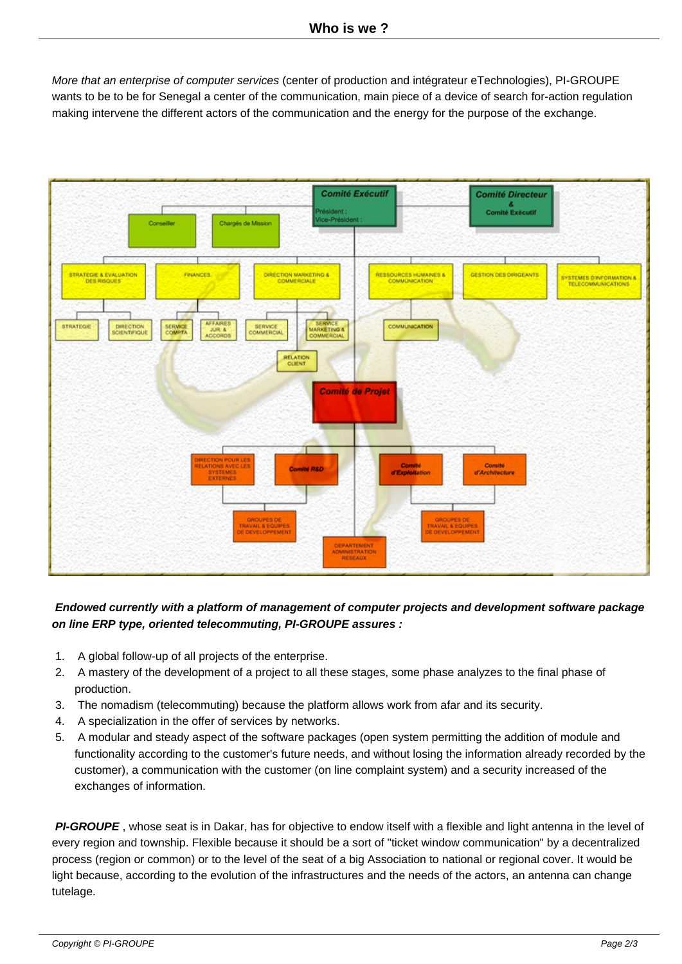More that an enterprise of computer services (center of production and intégrateur eTechnologies), PI-GROUPE wants to be to be for Senegal a center of the communication, main piece of a device of search for-action regulation making intervene the different actors of the communication and the energy for the purpose of the exchange.



## **Endowed currently with a platform of management of computer projects and development software package on line ERP type, oriented telecommuting, PI-GROUPE assures :**

- 1. A global follow-up of all projects of the enterprise.
- 2. A mastery of the development of a project to all these stages, some phase analyzes to the final phase of production.
- 3. The nomadism (telecommuting) because the platform allows work from afar and its security.
- 4. A specialization in the offer of services by networks.
- 5. A modular and steady aspect of the software packages (open system permitting the addition of module and functionality according to the customer's future needs, and without losing the information already recorded by the customer), a communication with the customer (on line complaint system) and a security increased of the exchanges of information.

 **PI-GROUPE** , whose seat is in Dakar, has for objective to endow itself with a flexible and light antenna in the level of every region and township. Flexible because it should be a sort of "ticket window communication" by a decentralized process (region or common) or to the level of the seat of a big Association to national or regional cover. It would be light because, according to the evolution of the infrastructures and the needs of the actors, an antenna can change tutelage.